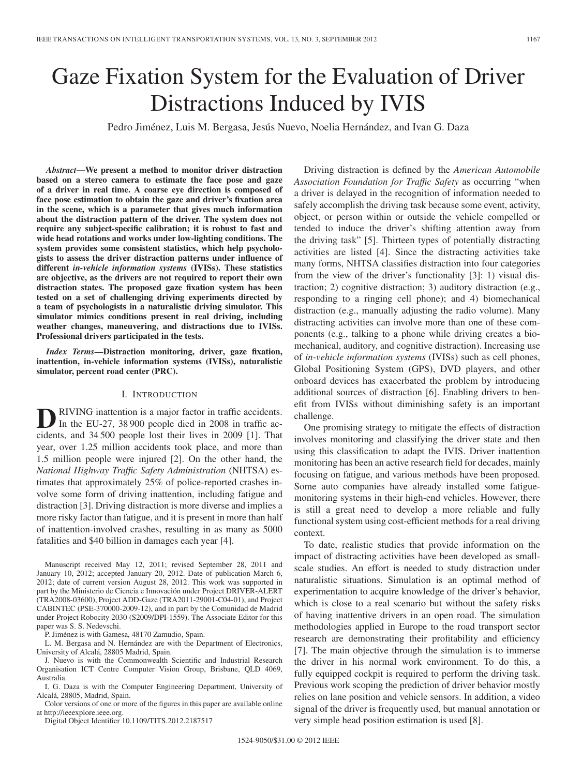# Gaze Fixation System for the Evaluation of Driver Distractions Induced by IVIS

Pedro Jiménez, Luis M. Bergasa, Jesús Nuevo, Noelia Hernández, and Ivan G. Daza

*Abstract***—We present a method to monitor driver distraction based on a stereo camera to estimate the face pose and gaze of a driver in real time. A coarse eye direction is composed of face pose estimation to obtain the gaze and driver's fixation area in the scene, which is a parameter that gives much information about the distraction pattern of the driver. The system does not require any subject-specific calibration; it is robust to fast and wide head rotations and works under low-lighting conditions. The system provides some consistent statistics, which help psychologists to assess the driver distraction patterns under influence of different** *in-vehicle information systems* **(IVISs). These statistics are objective, as the drivers are not required to report their own distraction states. The proposed gaze fixation system has been tested on a set of challenging driving experiments directed by a team of psychologists in a naturalistic driving simulator. This simulator mimics conditions present in real driving, including weather changes, maneuvering, and distractions due to IVISs. Professional drivers participated in the tests.**

*Index Terms***—Distraction monitoring, driver, gaze fixation, inattention, in-vehicle information systems (IVISs), naturalistic simulator, percent road center (PRC).**

## I. INTRODUCTION

**D**RIVING inattention is a major factor in traffic accidents.<br>In the EU-27, 38 900 people died in 2008 in traffic accidents, and 34 500 people lost their lives in 2009 [1]. That year, over 1.25 million accidents took place, and more than 1.5 million people were injured [2]. On the other hand, the *National Highway Traffic Safety Administration* (NHTSA) estimates that approximately 25% of police-reported crashes involve some form of driving inattention, including fatigue and distraction [3]. Driving distraction is more diverse and implies a more risky factor than fatigue, and it is present in more than half of inattention-involved crashes, resulting in as many as 5000 fatalities and \$40 billion in damages each year [4].

Manuscript received May 12, 2011; revised September 28, 2011 and January 10, 2012; accepted January 20, 2012. Date of publication March 6, 2012; date of current version August 28, 2012. This work was supported in part by the Ministerio de Ciencia e Innovación under Project DRIVER-ALERT (TRA2008-03600), Project ADD-Gaze (TRA2011-29001-C04-01), and Project CABINTEC (PSE-370000-2009-12), and in part by the Comunidad de Madrid under Project Robocity 2030 (S2009/DPI-1559). The Associate Editor for this paper was S. S. Nedevschi.

P. Jiménez is with Gamesa, 48170 Zamudio, Spain.

L. M. Bergasa and N. Hernández are with the Department of Electronics, University of Alcalá, 28805 Madrid, Spain.

J. Nuevo is with the Commonwealth Scientific and Industrial Research Organisation ICT Centre Computer Vision Group, Brisbane, QLD 4069, Australia.

I. G. Daza is with the Computer Engineering Department, University of Alcalá, 28805, Madrid, Spain.

Color versions of one or more of the figures in this paper are available online at http://ieeexplore.ieee.org.

Digital Object Identifier 10.1109/TITS.2012.2187517

Driving distraction is defined by the *American Automobile Association Foundation for Traffic Safety* as occurring "when a driver is delayed in the recognition of information needed to safely accomplish the driving task because some event, activity, object, or person within or outside the vehicle compelled or tended to induce the driver's shifting attention away from the driving task" [5]. Thirteen types of potentially distracting activities are listed [4]. Since the distracting activities take many forms, NHTSA classifies distraction into four categories from the view of the driver's functionality [3]: 1) visual distraction; 2) cognitive distraction; 3) auditory distraction (e.g., responding to a ringing cell phone); and 4) biomechanical distraction (e.g., manually adjusting the radio volume). Many distracting activities can involve more than one of these components (e.g., talking to a phone while driving creates a biomechanical, auditory, and cognitive distraction). Increasing use of *in-vehicle information systems* (IVISs) such as cell phones, Global Positioning System (GPS), DVD players, and other onboard devices has exacerbated the problem by introducing additional sources of distraction [6]. Enabling drivers to benefit from IVISs without diminishing safety is an important challenge.

One promising strategy to mitigate the effects of distraction involves monitoring and classifying the driver state and then using this classification to adapt the IVIS. Driver inattention monitoring has been an active research field for decades, mainly focusing on fatigue, and various methods have been proposed. Some auto companies have already installed some fatiguemonitoring systems in their high-end vehicles. However, there is still a great need to develop a more reliable and fully functional system using cost-efficient methods for a real driving context.

To date, realistic studies that provide information on the impact of distracting activities have been developed as smallscale studies. An effort is needed to study distraction under naturalistic situations. Simulation is an optimal method of experimentation to acquire knowledge of the driver's behavior, which is close to a real scenario but without the safety risks of having inattentive drivers in an open road. The simulation methodologies applied in Europe to the road transport sector research are demonstrating their profitability and efficiency [7]. The main objective through the simulation is to immerse the driver in his normal work environment. To do this, a fully equipped cockpit is required to perform the driving task. Previous work scoping the prediction of driver behavior mostly relies on lane position and vehicle sensors. In addition, a video signal of the driver is frequently used, but manual annotation or very simple head position estimation is used [8].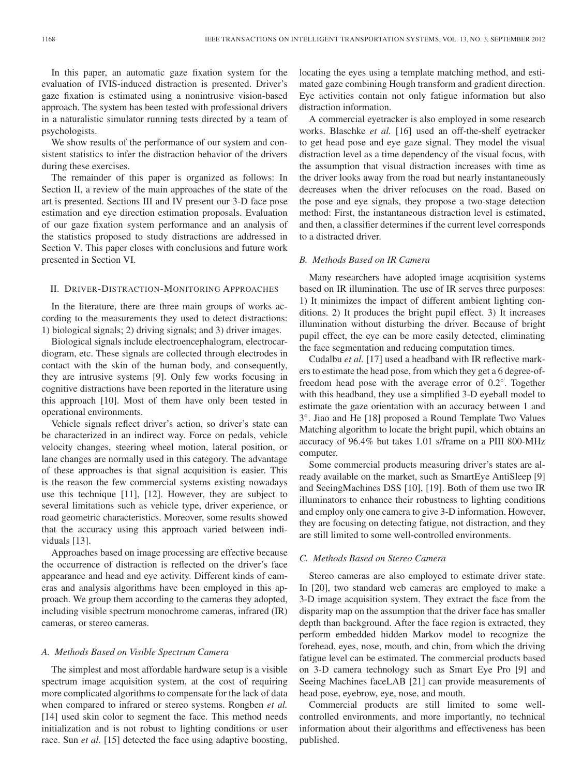In this paper, an automatic gaze fixation system for the evaluation of IVIS-induced distraction is presented. Driver's gaze fixation is estimated using a nonintrusive vision-based approach. The system has been tested with professional drivers in a naturalistic simulator running tests directed by a team of psychologists.

We show results of the performance of our system and consistent statistics to infer the distraction behavior of the drivers during these exercises.

The remainder of this paper is organized as follows: In Section II, a review of the main approaches of the state of the art is presented. Sections III and IV present our 3-D face pose estimation and eye direction estimation proposals. Evaluation of our gaze fixation system performance and an analysis of the statistics proposed to study distractions are addressed in Section V. This paper closes with conclusions and future work presented in Section VI.

## II. DRIVER-DISTRACTION-MONITORING APPROACHES

In the literature, there are three main groups of works according to the measurements they used to detect distractions: 1) biological signals; 2) driving signals; and 3) driver images.

Biological signals include electroencephalogram, electrocardiogram, etc. These signals are collected through electrodes in contact with the skin of the human body, and consequently, they are intrusive systems [9]. Only few works focusing in cognitive distractions have been reported in the literature using this approach [10]. Most of them have only been tested in operational environments.

Vehicle signals reflect driver's action, so driver's state can be characterized in an indirect way. Force on pedals, vehicle velocity changes, steering wheel motion, lateral position, or lane changes are normally used in this category. The advantage of these approaches is that signal acquisition is easier. This is the reason the few commercial systems existing nowadays use this technique [11], [12]. However, they are subject to several limitations such as vehicle type, driver experience, or road geometric characteristics. Moreover, some results showed that the accuracy using this approach varied between individuals [13].

Approaches based on image processing are effective because the occurrence of distraction is reflected on the driver's face appearance and head and eye activity. Different kinds of cameras and analysis algorithms have been employed in this approach. We group them according to the cameras they adopted, including visible spectrum monochrome cameras, infrared (IR) cameras, or stereo cameras.

#### *A. Methods Based on Visible Spectrum Camera*

The simplest and most affordable hardware setup is a visible spectrum image acquisition system, at the cost of requiring more complicated algorithms to compensate for the lack of data when compared to infrared or stereo systems. Rongben *et al.* [14] used skin color to segment the face. This method needs initialization and is not robust to lighting conditions or user race. Sun *et al.* [15] detected the face using adaptive boosting, locating the eyes using a template matching method, and estimated gaze combining Hough transform and gradient direction. Eye activities contain not only fatigue information but also distraction information.

A commercial eyetracker is also employed in some research works. Blaschke *et al.* [16] used an off-the-shelf eyetracker to get head pose and eye gaze signal. They model the visual distraction level as a time dependency of the visual focus, with the assumption that visual distraction increases with time as the driver looks away from the road but nearly instantaneously decreases when the driver refocuses on the road. Based on the pose and eye signals, they propose a two-stage detection method: First, the instantaneous distraction level is estimated, and then, a classifier determines if the current level corresponds to a distracted driver.

#### *B. Methods Based on IR Camera*

Many researchers have adopted image acquisition systems based on IR illumination. The use of IR serves three purposes: 1) It minimizes the impact of different ambient lighting conditions. 2) It produces the bright pupil effect. 3) It increases illumination without disturbing the driver. Because of bright pupil effect, the eye can be more easily detected, eliminating the face segmentation and reducing computation times.

Cudalbu *et al.* [17] used a headband with IR reflective markers to estimate the head pose, from which they get a 6 degree-offreedom head pose with the average error of 0.2◦. Together with this headband, they use a simplified 3-D eyeball model to estimate the gaze orientation with an accuracy between 1 and 3◦. Jiao and He [18] proposed a Round Template Two Values Matching algorithm to locate the bright pupil, which obtains an accuracy of 96.4% but takes 1.01 s/frame on a PIII 800-MHz computer.

Some commercial products measuring driver's states are already available on the market, such as SmartEye AntiSleep [9] and SeeingMachines DSS [10], [19]. Both of them use two IR illuminators to enhance their robustness to lighting conditions and employ only one camera to give 3-D information. However, they are focusing on detecting fatigue, not distraction, and they are still limited to some well-controlled environments.

#### *C. Methods Based on Stereo Camera*

Stereo cameras are also employed to estimate driver state. In [20], two standard web cameras are employed to make a 3-D image acquisition system. They extract the face from the disparity map on the assumption that the driver face has smaller depth than background. After the face region is extracted, they perform embedded hidden Markov model to recognize the forehead, eyes, nose, mouth, and chin, from which the driving fatigue level can be estimated. The commercial products based on 3-D camera technology such as Smart Eye Pro [9] and Seeing Machines faceLAB [21] can provide measurements of head pose, eyebrow, eye, nose, and mouth.

Commercial products are still limited to some wellcontrolled environments, and more importantly, no technical information about their algorithms and effectiveness has been published.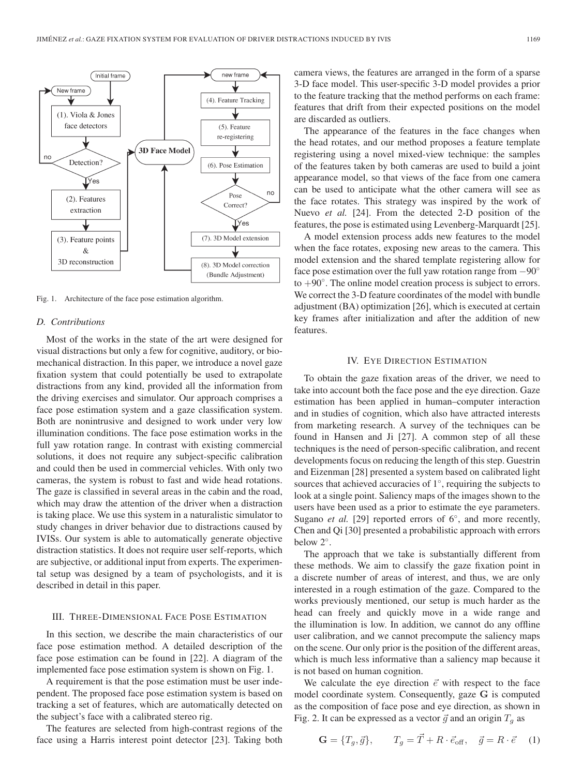

Fig. 1. Architecture of the face pose estimation algorithm.

## *D. Contributions*

Most of the works in the state of the art were designed for visual distractions but only a few for cognitive, auditory, or biomechanical distraction. In this paper, we introduce a novel gaze fixation system that could potentially be used to extrapolate distractions from any kind, provided all the information from the driving exercises and simulator. Our approach comprises a face pose estimation system and a gaze classification system. Both are nonintrusive and designed to work under very low illumination conditions. The face pose estimation works in the full yaw rotation range. In contrast with existing commercial solutions, it does not require any subject-specific calibration and could then be used in commercial vehicles. With only two cameras, the system is robust to fast and wide head rotations. The gaze is classified in several areas in the cabin and the road, which may draw the attention of the driver when a distraction is taking place. We use this system in a naturalistic simulator to study changes in driver behavior due to distractions caused by IVISs. Our system is able to automatically generate objective distraction statistics. It does not require user self-reports, which are subjective, or additional input from experts. The experimental setup was designed by a team of psychologists, and it is described in detail in this paper.

#### III. THREE-DIMENSIONAL FACE POSE ESTIMATION

In this section, we describe the main characteristics of our face pose estimation method. A detailed description of the face pose estimation can be found in [22]. A diagram of the implemented face pose estimation system is shown on Fig. 1.

A requirement is that the pose estimation must be user independent. The proposed face pose estimation system is based on tracking a set of features, which are automatically detected on the subject's face with a calibrated stereo rig.

The features are selected from high-contrast regions of the face using a Harris interest point detector [23]. Taking both camera views, the features are arranged in the form of a sparse 3-D face model. This user-specific 3-D model provides a prior to the feature tracking that the method performs on each frame: features that drift from their expected positions on the model are discarded as outliers.

The appearance of the features in the face changes when the head rotates, and our method proposes a feature template registering using a novel mixed-view technique: the samples of the features taken by both cameras are used to build a joint appearance model, so that views of the face from one camera can be used to anticipate what the other camera will see as the face rotates. This strategy was inspired by the work of Nuevo *et al.* [24]. From the detected 2-D position of the features, the pose is estimated using Levenberg-Marquardt [25].

A model extension process adds new features to the model when the face rotates, exposing new areas to the camera. This model extension and the shared template registering allow for face pose estimation over the full yaw rotation range from −90◦ to +90◦ . The online model creation process is subject to errors. We correct the 3-D feature coordinates of the model with bundle adjustment (BA) optimization [26], which is executed at certain key frames after initialization and after the addition of new features.

### IV. EYE DIRECTION ESTIMATION

To obtain the gaze fixation areas of the driver, we need to take into account both the face pose and the eye direction. Gaze estimation has been applied in human–computer interaction and in studies of cognition, which also have attracted interests from marketing research. A survey of the techniques can be found in Hansen and Ji [27]. A common step of all these techniques is the need of person-specific calibration, and recent developments focus on reducing the length of this step. Guestrin and Eizenman [28] presented a system based on calibrated light sources that achieved accuracies of 1°, requiring the subjects to look at a single point. Saliency maps of the images shown to the users have been used as a prior to estimate the eye parameters. Sugano *et al.* [29] reported errors of 6◦, and more recently, Chen and Qi [30] presented a probabilistic approach with errors below 2◦.

The approach that we take is substantially different from these methods. We aim to classify the gaze fixation point in a discrete number of areas of interest, and thus, we are only interested in a rough estimation of the gaze. Compared to the works previously mentioned, our setup is much harder as the head can freely and quickly move in a wide range and the illumination is low. In addition, we cannot do any offline user calibration, and we cannot precompute the saliency maps on the scene. Our only prior is the position of the different areas, which is much less informative than a saliency map because it is not based on human cognition.

We calculate the eye direction  $\vec{e}$  with respect to the face model coordinate system. Consequently, gaze **G** is computed as the composition of face pose and eye direction, as shown in Fig. 2. It can be expressed as a vector  $\vec{g}$  and an origin  $T_g$  as

$$
\mathbf{G} = \{T_g, \vec{g}\}, \qquad T_g = \vec{T} + R \cdot \vec{e}_{\text{off}}, \quad \vec{g} = R \cdot \vec{e} \quad (1)
$$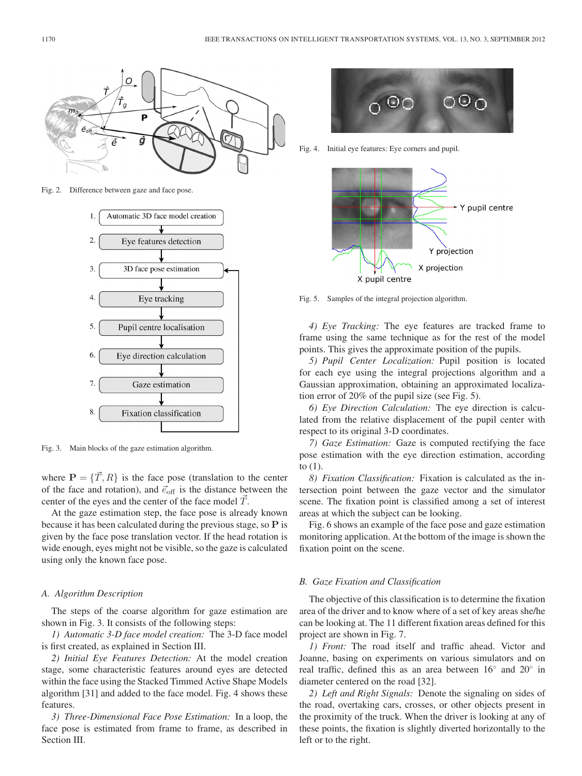

Fig. 2. Difference between gaze and face pose.



Fig. 3. Main blocks of the gaze estimation algorithm.

where  $\mathbf{P} = \{\vec{T}, R\}$  is the face pose (translation to the center of the face and rotation), and  $\vec{e}_{off}$  is the distance between the center of the eyes and the center of the face model  $\vec{T}$ .

At the gaze estimation step, the face pose is already known because it has been calculated during the previous stage, so **P** is given by the face pose translation vector. If the head rotation is wide enough, eyes might not be visible, so the gaze is calculated using only the known face pose.

#### *A. Algorithm Description*

The steps of the coarse algorithm for gaze estimation are shown in Fig. 3. It consists of the following steps:

*1) Automatic 3-D face model creation:* The 3-D face model is first created, as explained in Section III.

*2) Initial Eye Features Detection:* At the model creation stage, some characteristic features around eyes are detected within the face using the Stacked Timmed Active Shape Models algorithm [31] and added to the face model. Fig. 4 shows these features.

*3) Three-Dimensional Face Pose Estimation:* In a loop, the face pose is estimated from frame to frame, as described in Section III.



Fig. 4. Initial eye features: Eye corners and pupil.



Fig. 5. Samples of the integral projection algorithm.

*4) Eye Tracking:* The eye features are tracked frame to frame using the same technique as for the rest of the model points. This gives the approximate position of the pupils.

*5) Pupil Center Localization:* Pupil position is located for each eye using the integral projections algorithm and a Gaussian approximation, obtaining an approximated localization error of 20% of the pupil size (see Fig. 5).

*6) Eye Direction Calculation:* The eye direction is calculated from the relative displacement of the pupil center with respect to its original 3-D coordinates.

*7) Gaze Estimation:* Gaze is computed rectifying the face pose estimation with the eye direction estimation, according to (1).

*8) Fixation Classification:* Fixation is calculated as the intersection point between the gaze vector and the simulator scene. The fixation point is classified among a set of interest areas at which the subject can be looking.

Fig. 6 shows an example of the face pose and gaze estimation monitoring application. At the bottom of the image is shown the fixation point on the scene.

#### *B. Gaze Fixation and Classification*

The objective of this classification is to determine the fixation area of the driver and to know where of a set of key areas she/he can be looking at. The 11 different fixation areas defined for this project are shown in Fig. 7.

*1) Front:* The road itself and traffic ahead. Victor and Joanne, basing on experiments on various simulators and on real traffic, defined this as an area between 16◦ and 20◦ in diameter centered on the road [32].

*2) Left and Right Signals:* Denote the signaling on sides of the road, overtaking cars, crosses, or other objects present in the proximity of the truck. When the driver is looking at any of these points, the fixation is slightly diverted horizontally to the left or to the right.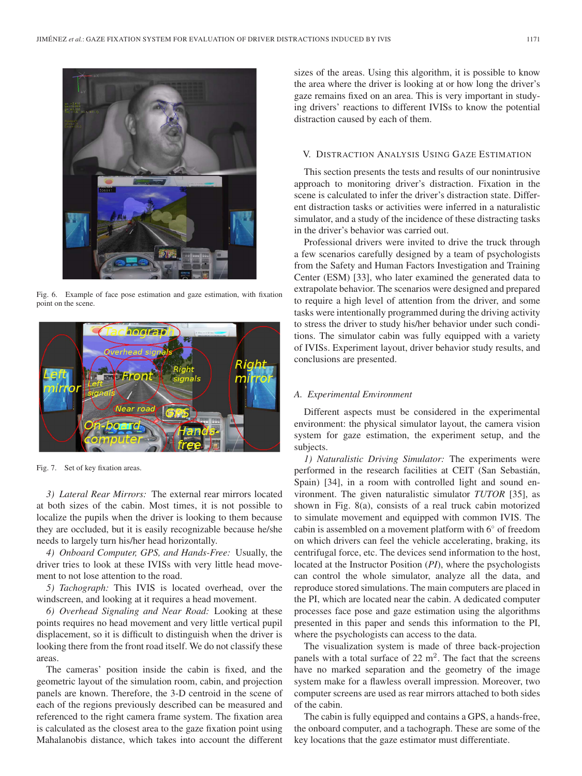

Fig. 6. Example of face pose estimation and gaze estimation, with fixation point on the scene.



Fig. 7. Set of key fixation areas.

*3) Lateral Rear Mirrors:* The external rear mirrors located at both sizes of the cabin. Most times, it is not possible to localize the pupils when the driver is looking to them because they are occluded, but it is easily recognizable because he/she needs to largely turn his/her head horizontally.

*4) Onboard Computer, GPS, and Hands-Free:* Usually, the driver tries to look at these IVISs with very little head movement to not lose attention to the road.

*5) Tachograph:* This IVIS is located overhead, over the windscreen, and looking at it requires a head movement.

*6) Overhead Signaling and Near Road:* Looking at these points requires no head movement and very little vertical pupil displacement, so it is difficult to distinguish when the driver is looking there from the front road itself. We do not classify these areas.

The cameras' position inside the cabin is fixed, and the geometric layout of the simulation room, cabin, and projection panels are known. Therefore, the 3-D centroid in the scene of each of the regions previously described can be measured and referenced to the right camera frame system. The fixation area is calculated as the closest area to the gaze fixation point using Mahalanobis distance, which takes into account the different

sizes of the areas. Using this algorithm, it is possible to know the area where the driver is looking at or how long the driver's gaze remains fixed on an area. This is very important in studying drivers' reactions to different IVISs to know the potential distraction caused by each of them.

#### V. DISTRACTION ANALYSIS USING GAZE ESTIMATION

This section presents the tests and results of our nonintrusive approach to monitoring driver's distraction. Fixation in the scene is calculated to infer the driver's distraction state. Different distraction tasks or activities were inferred in a naturalistic simulator, and a study of the incidence of these distracting tasks in the driver's behavior was carried out.

Professional drivers were invited to drive the truck through a few scenarios carefully designed by a team of psychologists from the Safety and Human Factors Investigation and Training Center (ESM) [33], who later examined the generated data to extrapolate behavior. The scenarios were designed and prepared to require a high level of attention from the driver, and some tasks were intentionally programmed during the driving activity to stress the driver to study his/her behavior under such conditions. The simulator cabin was fully equipped with a variety of IVISs. Experiment layout, driver behavior study results, and conclusions are presented.

#### *A. Experimental Environment*

Different aspects must be considered in the experimental environment: the physical simulator layout, the camera vision system for gaze estimation, the experiment setup, and the subjects.

*1) Naturalistic Driving Simulator:* The experiments were performed in the research facilities at CEIT (San Sebastián, Spain) [34], in a room with controlled light and sound environment. The given naturalistic simulator *TUTOR* [35], as shown in Fig. 8(a), consists of a real truck cabin motorized to simulate movement and equipped with common IVIS. The cabin is assembled on a movement platform with 6◦ of freedom on which drivers can feel the vehicle accelerating, braking, its centrifugal force, etc. The devices send information to the host, located at the Instructor Position (*PI*), where the psychologists can control the whole simulator, analyze all the data, and reproduce stored simulations. The main computers are placed in the PI, which are located near the cabin. A dedicated computer processes face pose and gaze estimation using the algorithms presented in this paper and sends this information to the PI, where the psychologists can access to the data.

The visualization system is made of three back-projection panels with a total surface of  $22 \text{ m}^2$ . The fact that the screens have no marked separation and the geometry of the image system make for a flawless overall impression. Moreover, two computer screens are used as rear mirrors attached to both sides of the cabin.

The cabin is fully equipped and contains a GPS, a hands-free, the onboard computer, and a tachograph. These are some of the key locations that the gaze estimator must differentiate.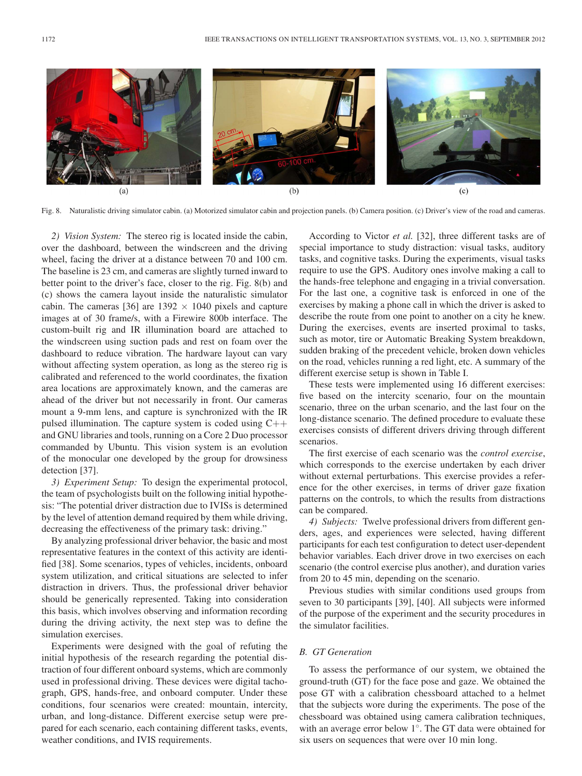

Fig. 8. Naturalistic driving simulator cabin. (a) Motorized simulator cabin and projection panels. (b) Camera position. (c) Driver's view of the road and cameras.

*2) Vision System:* The stereo rig is located inside the cabin, over the dashboard, between the windscreen and the driving wheel, facing the driver at a distance between 70 and 100 cm. The baseline is 23 cm, and cameras are slightly turned inward to better point to the driver's face, closer to the rig. Fig. 8(b) and (c) shows the camera layout inside the naturalistic simulator cabin. The cameras [36] are  $1392 \times 1040$  pixels and capture images at of 30 frame/s, with a Firewire 800b interface. The custom-built rig and IR illumination board are attached to the windscreen using suction pads and rest on foam over the dashboard to reduce vibration. The hardware layout can vary without affecting system operation, as long as the stereo rig is calibrated and referenced to the world coordinates, the fixation area locations are approximately known, and the cameras are ahead of the driver but not necessarily in front. Our cameras mount a 9-mm lens, and capture is synchronized with the IR pulsed illumination. The capture system is coded using C++ and GNU libraries and tools, running on a Core 2 Duo processor commanded by Ubuntu. This vision system is an evolution of the monocular one developed by the group for drowsiness detection [37].

*3) Experiment Setup:* To design the experimental protocol, the team of psychologists built on the following initial hypothesis: "The potential driver distraction due to IVISs is determined by the level of attention demand required by them while driving, decreasing the effectiveness of the primary task: driving."

By analyzing professional driver behavior, the basic and most representative features in the context of this activity are identified [38]. Some scenarios, types of vehicles, incidents, onboard system utilization, and critical situations are selected to infer distraction in drivers. Thus, the professional driver behavior should be generically represented. Taking into consideration this basis, which involves observing and information recording during the driving activity, the next step was to define the simulation exercises.

Experiments were designed with the goal of refuting the initial hypothesis of the research regarding the potential distraction of four different onboard systems, which are commonly used in professional driving. These devices were digital tachograph, GPS, hands-free, and onboard computer. Under these conditions, four scenarios were created: mountain, intercity, urban, and long-distance. Different exercise setup were prepared for each scenario, each containing different tasks, events, weather conditions, and IVIS requirements.

According to Victor *et al.* [32], three different tasks are of special importance to study distraction: visual tasks, auditory tasks, and cognitive tasks. During the experiments, visual tasks require to use the GPS. Auditory ones involve making a call to the hands-free telephone and engaging in a trivial conversation. For the last one, a cognitive task is enforced in one of the exercises by making a phone call in which the driver is asked to describe the route from one point to another on a city he knew. During the exercises, events are inserted proximal to tasks, such as motor, tire or Automatic Breaking System breakdown, sudden braking of the precedent vehicle, broken down vehicles on the road, vehicles running a red light, etc. A summary of the different exercise setup is shown in Table I.

These tests were implemented using 16 different exercises: five based on the intercity scenario, four on the mountain scenario, three on the urban scenario, and the last four on the long-distance scenario. The defined procedure to evaluate these exercises consists of different drivers driving through different scenarios.

The first exercise of each scenario was the *control exercise*, which corresponds to the exercise undertaken by each driver without external perturbations. This exercise provides a reference for the other exercises, in terms of driver gaze fixation patterns on the controls, to which the results from distractions can be compared.

*4) Subjects:* Twelve professional drivers from different genders, ages, and experiences were selected, having different participants for each test configuration to detect user-dependent behavior variables. Each driver drove in two exercises on each scenario (the control exercise plus another), and duration varies from 20 to 45 min, depending on the scenario.

Previous studies with similar conditions used groups from seven to 30 participants [39], [40]. All subjects were informed of the purpose of the experiment and the security procedures in the simulator facilities.

## *B. GT Generation*

To assess the performance of our system, we obtained the ground-truth (GT) for the face pose and gaze. We obtained the pose GT with a calibration chessboard attached to a helmet that the subjects wore during the experiments. The pose of the chessboard was obtained using camera calibration techniques, with an average error below 1◦. The GT data were obtained for six users on sequences that were over 10 min long.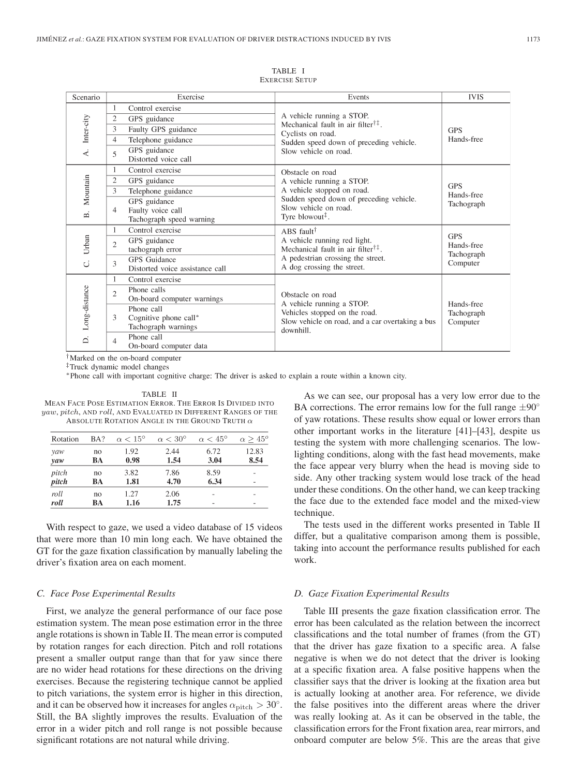| Scenario                               | Exercise                                   |                                                                                                                                                                     | Events                                                                                                                                                                                             | <b>IVIS</b>                                        |
|----------------------------------------|--------------------------------------------|---------------------------------------------------------------------------------------------------------------------------------------------------------------------|----------------------------------------------------------------------------------------------------------------------------------------------------------------------------------------------------|----------------------------------------------------|
| Inter-city<br>$\overline{\mathcal{A}}$ | 1<br>$\overline{c}$<br>3<br>4<br>5         | Control exercise<br>GPS guidance<br>Faulty GPS guidance<br>Telephone guidance<br>GPS guidance<br>Distorted voice call                                               | A vehicle running a STOP.<br>Mechanical fault in air filter <sup>†‡</sup> .<br>Cyclists on road.<br>Sudden speed down of preceding vehicle.<br>Slow vehicle on road.                               | <b>GPS</b><br>Hands-free                           |
| Mountain<br>Β.                         | 1<br>$\overline{2}$<br>3<br>4              | Control exercise<br>GPS guidance<br>Telephone guidance<br>GPS guidance<br>Faulty voice call<br>Tachograph speed warning                                             | Obstacle on road<br>A vehicle running a STOP.<br>A vehicle stopped on road.<br>Sudden speed down of preceding vehicle.<br>Slow vehicle on road.<br>Tyre blowout <sup><math>\ddagger</math></sup> . | <b>GPS</b><br>Hands-free<br>Tachograph             |
| Urban<br>ن                             | 1<br>$\overline{2}$<br>$\mathcal{E}$       | Control exercise<br>GPS guidance<br>tachograph error<br><b>GPS</b> Guidance<br>Distorted voice assistance call                                                      | ABS fault <sup>†</sup><br>A vehicle running red light.<br>Mechanical fault in air filter <sup>†‡</sup> .<br>A pedestrian crossing the street.<br>A dog crossing the street.                        | <b>GPS</b><br>Hands-free<br>Tachograph<br>Computer |
| Long-distance<br>≏                     | 1<br>$\overline{c}$<br>3<br>$\overline{4}$ | Control exercise<br>Phone calls<br>On-board computer warnings<br>Phone call<br>Cognitive phone call*<br>Tachograph warnings<br>Phone call<br>On-board computer data | Obstacle on road<br>A vehicle running a STOP.<br>Vehicles stopped on the road.<br>Slow vehicle on road, and a car overtaking a bus<br>downhill.                                                    | Hands-free<br>Tachograph<br>Computer               |

TABLE I EXERCISE SETUP

<sup>†</sup>Marked on the on-board computer

<sup>‡</sup>Truck dynamic model changes

\*Phone call with important cognitive charge: The driver is asked to explain a route within a known city.

TABLE II MEAN FACE POSE ESTIMATION ERROR. THE ERROR IS DIVIDED INTO yaw, pitch, AND roll, AND EVALUATED IN DIFFERENT RANGES OF THE ABSOLUTE ROTATION ANGLE IN THE GROUND TRUTH  $\alpha$ 

| Rotation     | BA?      | $\alpha < 15^{\circ}$ | $\alpha < 30^{\circ}$ | $\alpha < 45^{\circ}$ | $\alpha > 45^{\circ}$    |  |
|--------------|----------|-----------------------|-----------------------|-----------------------|--------------------------|--|
| yaw          | no       | 1.92                  | 2.44                  | 6.72                  | 12.83                    |  |
| yaw          | BA       | 0.98                  | 1.54                  | 3.04                  | 8.54                     |  |
| pitch        | no       | 3.82                  | 7.86                  | 8.59                  | ۰                        |  |
| pitch        | BA       | 1.81                  | 4.70                  | 6.34                  | $\overline{\phantom{a}}$ |  |
| roll<br>roll | no<br>BA | 1.27<br>1.16          | 2.06<br>1.75          | <b>COL</b>            | -                        |  |

With respect to gaze, we used a video database of 15 videos that were more than 10 min long each. We have obtained the GT for the gaze fixation classification by manually labeling the driver's fixation area on each moment.

#### *C. Face Pose Experimental Results*

First, we analyze the general performance of our face pose estimation system. The mean pose estimation error in the three angle rotations is shown in Table II. The mean error is computed by rotation ranges for each direction. Pitch and roll rotations present a smaller output range than that for yaw since there are no wider head rotations for these directions on the driving exercises. Because the registering technique cannot be applied to pitch variations, the system error is higher in this direction, and it can be observed how it increases for angles  $\alpha_{\text{pitch}} > 30^{\circ}$ . Still, the BA slightly improves the results. Evaluation of the error in a wider pitch and roll range is not possible because significant rotations are not natural while driving.

As we can see, our proposal has a very low error due to the BA corrections. The error remains low for the full range  $\pm 90^\circ$ of yaw rotations. These results show equal or lower errors than other important works in the literature [41]–[43], despite us testing the system with more challenging scenarios. The lowlighting conditions, along with the fast head movements, make the face appear very blurry when the head is moving side to side. Any other tracking system would lose track of the head under these conditions. On the other hand, we can keep tracking the face due to the extended face model and the mixed-view technique.

The tests used in the different works presented in Table II differ, but a qualitative comparison among them is possible, taking into account the performance results published for each work.

#### *D. Gaze Fixation Experimental Results*

Table III presents the gaze fixation classification error. The error has been calculated as the relation between the incorrect classifications and the total number of frames (from the GT) that the driver has gaze fixation to a specific area. A false negative is when we do not detect that the driver is looking at a specific fixation area. A false positive happens when the classifier says that the driver is looking at the fixation area but is actually looking at another area. For reference, we divide the false positives into the different areas where the driver was really looking at. As it can be observed in the table, the classification errors for the Front fixation area, rear mirrors, and onboard computer are below 5%. This are the areas that give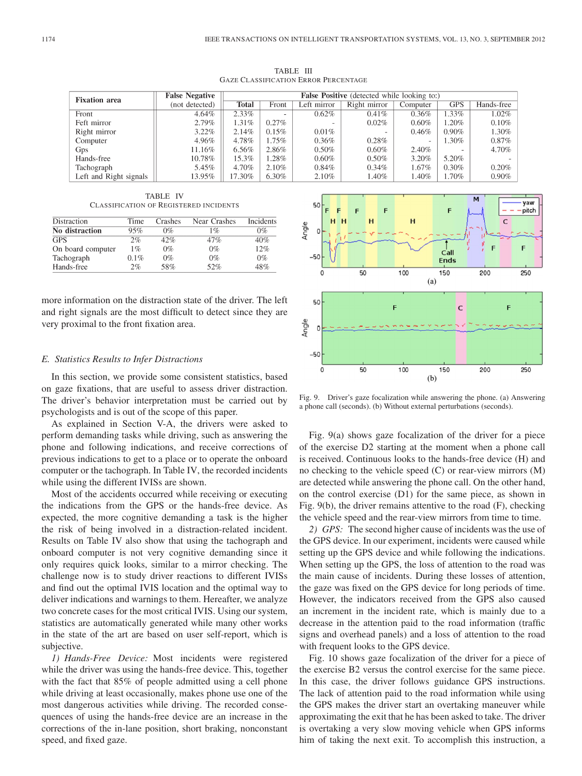| <b>Fixation</b> area   | <b>False Negative</b> | <b>False Positive</b> (detected while looking to:) |          |             |                          |          |            |            |  |
|------------------------|-----------------------|----------------------------------------------------|----------|-------------|--------------------------|----------|------------|------------|--|
|                        | (not detected)        | <b>Total</b>                                       | Front    | Left mirror | Right mirror             | Computer | <b>GPS</b> | Hands-free |  |
| Front                  | $4.64\%$              | $2.33\%$                                           | $\sim$   | $0.62\%$    | 0.41%                    | $0.36\%$ | $.33\%$    | $1.02\%$   |  |
| Feft mirror            | $2.79\%$              | 1.31%                                              | $0.27\%$ |             | 0.02%                    | $0.60\%$ | $1.20\%$   | 0.10%      |  |
| Right mirror           | $3.22\%$              | 2.14%                                              | $0.15\%$ | $0.01\%$    | $\overline{\phantom{0}}$ | $0.46\%$ | $0.90\%$   | 1.30%      |  |
| Computer               | 4.96%                 | 4.78%                                              | $1.75\%$ | $0.36\%$    | $0.28\%$                 |          | $.30\%$    | 0.87%      |  |
| <b>Gps</b>             | 11.16%                | 6.56%                                              | 2.86%    | $0.50\%$    | $0.60\%$                 | 2.40%    |            | 4.70%      |  |
| Hands-free             | 10.78%                | 15.3%                                              | 1.28%    | $0.60\%$    | $0.50\%$                 | 3.20%    | 5.20%      |            |  |
| Tachograph             | 5.45%                 | 4.70%                                              | $2.10\%$ | $0.84\%$    | $0.34\%$                 | $1.67\%$ | $0.30\%$   | 0.20%      |  |
| Left and Right signals | 13.95%                | 17.30%                                             | 6.30%    | 2.10%       | 1.40%                    | 1.40%    | 1.70%      | 0.90%      |  |

TABLE III GAZE CLASSIFICATION ERROR PERCENTAGE

TABLE IV CLASSIFICATION OF REGISTERED INCIDENTS

| Distraction       | Time    | Crashes | Near Crashes | <b>Incidents</b> |
|-------------------|---------|---------|--------------|------------------|
| No distraction    | 95%     | $0\%$   | 1%           | 0%               |
| <b>GPS</b>        | 2%      | 42%     | 47%          | 40%              |
| On board computer | $1\%$   | $0\%$   | $0\%$        | 12%              |
| Tachograph        | $0.1\%$ | $0\%$   | $0\%$        | $0\%$            |
| Hands-free        | 2%      | 58%     | 52%          | 48%              |

more information on the distraction state of the driver. The left and right signals are the most difficult to detect since they are very proximal to the front fixation area.

### *E. Statistics Results to Infer Distractions*

In this section, we provide some consistent statistics, based on gaze fixations, that are useful to assess driver distraction. The driver's behavior interpretation must be carried out by psychologists and is out of the scope of this paper.

As explained in Section V-A, the drivers were asked to perform demanding tasks while driving, such as answering the phone and following indications, and receive corrections of previous indications to get to a place or to operate the onboard computer or the tachograph. In Table IV, the recorded incidents while using the different IVISs are shown.

Most of the accidents occurred while receiving or executing the indications from the GPS or the hands-free device. As expected, the more cognitive demanding a task is the higher the risk of being involved in a distraction-related incident. Results on Table IV also show that using the tachograph and onboard computer is not very cognitive demanding since it only requires quick looks, similar to a mirror checking. The challenge now is to study driver reactions to different IVISs and find out the optimal IVIS location and the optimal way to deliver indications and warnings to them. Hereafter, we analyze two concrete cases for the most critical IVIS. Using our system, statistics are automatically generated while many other works in the state of the art are based on user self-report, which is subjective.

*1) Hands-Free Device:* Most incidents were registered while the driver was using the hands-free device. This, together with the fact that 85% of people admitted using a cell phone while driving at least occasionally, makes phone use one of the most dangerous activities while driving. The recorded consequences of using the hands-free device are an increase in the corrections of the in-lane position, short braking, nonconstant speed, and fixed gaze.



Fig. 9. Driver's gaze focalization while answering the phone. (a) Answering a phone call (seconds). (b) Without external perturbations (seconds).

Fig. 9(a) shows gaze focalization of the driver for a piece of the exercise D2 starting at the moment when a phone call is received. Continuous looks to the hands-free device (H) and no checking to the vehicle speed (C) or rear-view mirrors (M) are detected while answering the phone call. On the other hand, on the control exercise (D1) for the same piece, as shown in Fig. 9(b), the driver remains attentive to the road (F), checking the vehicle speed and the rear-view mirrors from time to time.

*2) GPS:* The second higher cause of incidents was the use of the GPS device. In our experiment, incidents were caused while setting up the GPS device and while following the indications. When setting up the GPS, the loss of attention to the road was the main cause of incidents. During these losses of attention, the gaze was fixed on the GPS device for long periods of time. However, the indicators received from the GPS also caused an increment in the incident rate, which is mainly due to a decrease in the attention paid to the road information (traffic signs and overhead panels) and a loss of attention to the road with frequent looks to the GPS device.

Fig. 10 shows gaze focalization of the driver for a piece of the exercise B2 versus the control exercise for the same piece. In this case, the driver follows guidance GPS instructions. The lack of attention paid to the road information while using the GPS makes the driver start an overtaking maneuver while approximating the exit that he has been asked to take. The driver is overtaking a very slow moving vehicle when GPS informs him of taking the next exit. To accomplish this instruction, a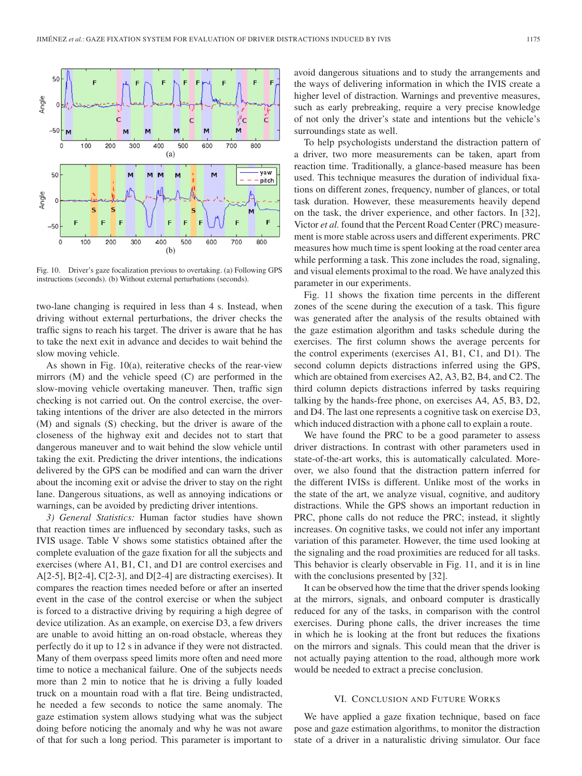

Fig. 10. Driver's gaze focalization previous to overtaking. (a) Following GPS instructions (seconds). (b) Without external perturbations (seconds).

two-lane changing is required in less than 4 s. Instead, when driving without external perturbations, the driver checks the traffic signs to reach his target. The driver is aware that he has to take the next exit in advance and decides to wait behind the slow moving vehicle.

As shown in Fig. 10(a), reiterative checks of the rear-view mirrors (M) and the vehicle speed (C) are performed in the slow-moving vehicle overtaking maneuver. Then, traffic sign checking is not carried out. On the control exercise, the overtaking intentions of the driver are also detected in the mirrors (M) and signals (S) checking, but the driver is aware of the closeness of the highway exit and decides not to start that dangerous maneuver and to wait behind the slow vehicle until taking the exit. Predicting the driver intentions, the indications delivered by the GPS can be modified and can warn the driver about the incoming exit or advise the driver to stay on the right lane. Dangerous situations, as well as annoying indications or warnings, can be avoided by predicting driver intentions.

*3) General Statistics:* Human factor studies have shown that reaction times are influenced by secondary tasks, such as IVIS usage. Table V shows some statistics obtained after the complete evaluation of the gaze fixation for all the subjects and exercises (where A1, B1, C1, and D1 are control exercises and  $A[2-5]$ ,  $B[2-4]$ ,  $C[2-3]$ , and  $D[2-4]$  are distracting exercises). It compares the reaction times needed before or after an inserted event in the case of the control exercise or when the subject is forced to a distractive driving by requiring a high degree of device utilization. As an example, on exercise D3, a few drivers are unable to avoid hitting an on-road obstacle, whereas they perfectly do it up to 12 s in advance if they were not distracted. Many of them overpass speed limits more often and need more time to notice a mechanical failure. One of the subjects needs more than 2 min to notice that he is driving a fully loaded truck on a mountain road with a flat tire. Being undistracted, he needed a few seconds to notice the same anomaly. The gaze estimation system allows studying what was the subject doing before noticing the anomaly and why he was not aware of that for such a long period. This parameter is important to avoid dangerous situations and to study the arrangements and the ways of delivering information in which the IVIS create a higher level of distraction. Warnings and preventive measures, such as early prebreaking, require a very precise knowledge of not only the driver's state and intentions but the vehicle's surroundings state as well.

To help psychologists understand the distraction pattern of a driver, two more measurements can be taken, apart from reaction time. Traditionally, a glance-based measure has been used. This technique measures the duration of individual fixations on different zones, frequency, number of glances, or total task duration. However, these measurements heavily depend on the task, the driver experience, and other factors. In [32], Victor *et al.* found that the Percent Road Center (PRC) measurement is more stable across users and different experiments. PRC measures how much time is spent looking at the road center area while performing a task. This zone includes the road, signaling, and visual elements proximal to the road. We have analyzed this parameter in our experiments.

Fig. 11 shows the fixation time percents in the different zones of the scene during the execution of a task. This figure was generated after the analysis of the results obtained with the gaze estimation algorithm and tasks schedule during the exercises. The first column shows the average percents for the control experiments (exercises A1, B1, C1, and D1). The second column depicts distractions inferred using the GPS, which are obtained from exercises A2, A3, B2, B4, and C2. The third column depicts distractions inferred by tasks requiring talking by the hands-free phone, on exercises A4, A5, B3, D2, and D4. The last one represents a cognitive task on exercise D3, which induced distraction with a phone call to explain a route.

We have found the PRC to be a good parameter to assess driver distractions. In contrast with other parameters used in state-of-the-art works, this is automatically calculated. Moreover, we also found that the distraction pattern inferred for the different IVISs is different. Unlike most of the works in the state of the art, we analyze visual, cognitive, and auditory distractions. While the GPS shows an important reduction in PRC, phone calls do not reduce the PRC; instead, it slightly increases. On cognitive tasks, we could not infer any important variation of this parameter. However, the time used looking at the signaling and the road proximities are reduced for all tasks. This behavior is clearly observable in Fig. 11, and it is in line with the conclusions presented by [32].

It can be observed how the time that the driver spends looking at the mirrors, signals, and onboard computer is drastically reduced for any of the tasks, in comparison with the control exercises. During phone calls, the driver increases the time in which he is looking at the front but reduces the fixations on the mirrors and signals. This could mean that the driver is not actually paying attention to the road, although more work would be needed to extract a precise conclusion.

## VI. CONCLUSION AND FUTURE WORKS

We have applied a gaze fixation technique, based on face pose and gaze estimation algorithms, to monitor the distraction state of a driver in a naturalistic driving simulator. Our face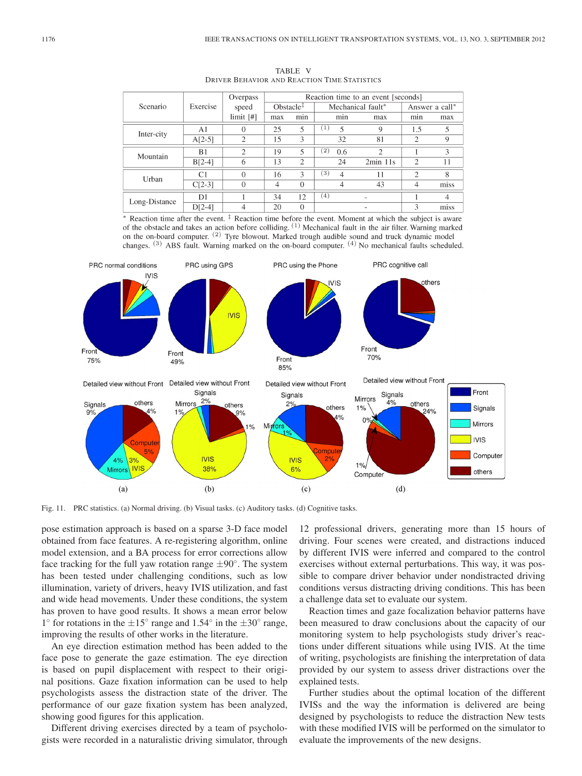|               |                | Overpass                    | Reaction time to an event [seconds] |          |                   |                          |                             |                             |      |
|---------------|----------------|-----------------------------|-------------------------------------|----------|-------------------|--------------------------|-----------------------------|-----------------------------|------|
| Scenario      | Exercise       | speed                       | Obstacle $\bar{f}$                  |          | Mechanical fault* |                          |                             | Answer a call*              |      |
|               |                | $limit$ [#]                 | max                                 | min      |                   | min                      | max                         | min                         | max  |
| Inter-city    | A1             | $\Omega$                    | 25                                  | 5        | $\left(1\right)$  | $\overline{\phantom{0}}$ | 9                           | 1.5                         | 5    |
|               | $A[2-5]$       | $\mathcal{D}_{\mathcal{L}}$ | 15                                  | 3        |                   | 32                       | 81                          | $\mathcal{D}_{\mathcal{A}}$ | 9    |
| Mountain      | B1             | $\overline{c}$              | 19                                  | 5        | $^{\rm (2)}$      | 0.6                      | $\mathcal{D}_{\mathcal{A}}$ |                             | 3    |
|               | $B[2-4]$       | 6                           | 13                                  | 2        |                   | 24                       | $2min$ 11s                  | $\mathcal{D}_{\mathcal{L}}$ |      |
| Urban         | C <sub>1</sub> | $\Omega$                    | 16                                  | 3        | $^{(3)}$          | $\overline{4}$           | 11                          | $\mathfrak{D}$              | 8    |
|               | $CI2-3$        | $\Omega$                    | 4                                   | $\Omega$ |                   | 4                        | 43                          | 4                           | miss |
| Long-Distance | D1             |                             | 34                                  | 12       | $^{(4)}$          |                          | $\overline{\phantom{a}}$    |                             | 4    |
|               | $D[2-4]$       | 4                           | 20                                  | $\Omega$ |                   |                          |                             | 3                           | miss |

TABLE V DRIVER BEHAVIOR AND REACTION TIME STATISTICS

\* Reaction time after the event.  $\frac{1}{4}$  Reaction time before the event. Moment at which the subject is aware of the obstacle and takes an action before colliding.  $(1)$  Mechanical fault in the air filter. Warning marked on the on-board computer. <sup>(2)</sup> Tyre blowout. Marked trough audible sound and truck dynamic model changes.  $^{(3)}$  ABS fault. Warning marked on the on-board computer.  $^{(4)}$  No mechanical faults scheduled.



Fig. 11. PRC statistics. (a) Normal driving. (b) Visual tasks. (c) Auditory tasks. (d) Cognitive tasks.

pose estimation approach is based on a sparse 3-D face model obtained from face features. A re-registering algorithm, online model extension, and a BA process for error corrections allow face tracking for the full yaw rotation range  $\pm 90^\circ$ . The system has been tested under challenging conditions, such as low illumination, variety of drivers, heavy IVIS utilization, and fast and wide head movements. Under these conditions, the system has proven to have good results. It shows a mean error below 1 $\degree$  for rotations in the  $\pm 15\degree$  range and 1.54 $\degree$  in the  $\pm 30\degree$  range, improving the results of other works in the literature.

An eye direction estimation method has been added to the face pose to generate the gaze estimation. The eye direction is based on pupil displacement with respect to their original positions. Gaze fixation information can be used to help psychologists assess the distraction state of the driver. The performance of our gaze fixation system has been analyzed, showing good figures for this application.

Different driving exercises directed by a team of psychologists were recorded in a naturalistic driving simulator, through

12 professional drivers, generating more than 15 hours of driving. Four scenes were created, and distractions induced by different IVIS were inferred and compared to the control exercises without external perturbations. This way, it was possible to compare driver behavior under nondistracted driving conditions versus distracting driving conditions. This has been a challenge data set to evaluate our system.

Reaction times and gaze focalization behavior patterns have been measured to draw conclusions about the capacity of our monitoring system to help psychologists study driver's reactions under different situations while using IVIS. At the time of writing, psychologists are finishing the interpretation of data provided by our system to assess driver distractions over the explained tests.

Further studies about the optimal location of the different IVISs and the way the information is delivered are being designed by psychologists to reduce the distraction New tests with these modified IVIS will be performed on the simulator to evaluate the improvements of the new designs.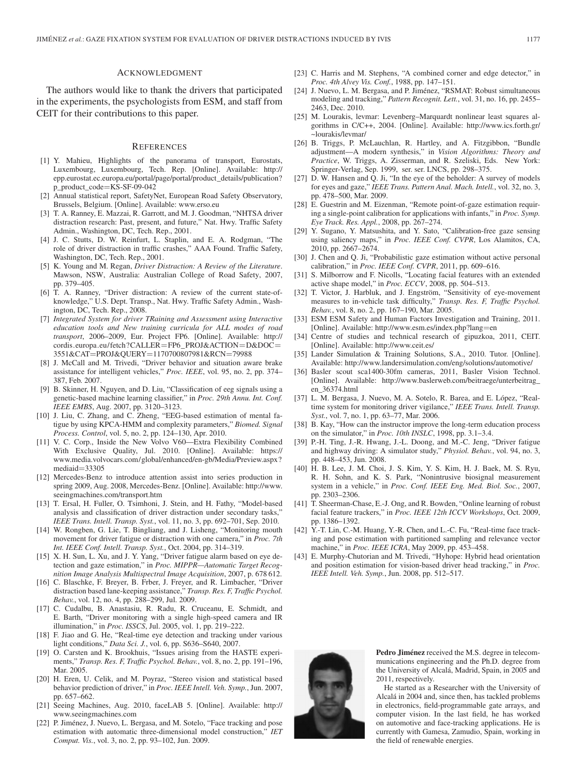#### ACKNOWLEDGMENT

The authors would like to thank the drivers that participated in the experiments, the psychologists from ESM, and staff from CEIT for their contributions to this paper.

#### **REFERENCES**

- [1] Y. Mahieu, Highlights of the panorama of transport, Eurostats, Luxembourg, Luxembourg, Tech. Rep. [Online]. Available: http:// epp.eurostat.ec.europa.eu/portal/page/portal/product\_details/publication? p\_product\_code=KS-SF-09-042
- [2] Annual statistical report, SafetyNet, European Road Safety Observatory, Brussels, Belgium. [Online]. Available: www.erso.eu
- [3] T. A. Ranney, E. Mazzai, R. Garrott, and M. J. Goodman, "NHTSA driver distraction research: Past, present, and future," Nat. Hwy. Traffic Safety Admin., Washington, DC, Tech. Rep., 2001.
- [4] J. C. Stutts, D. W. Reinfurt, L. Staplin, and E. A. Rodgman, "The role of driver distraction in traffic crashes," AAA Found. Traffic Safety, Washington, DC, Tech. Rep., 2001.
- [5] K. Young and M. Regan, *Driver Distraction: A Review of the Literature*. Mawson, NSW, Australia: Australian College of Road Safety, 2007, pp. 379–405.
- [6] T. A. Ranney, "Driver distraction: A review of the current state-ofknowledge," U.S. Dept. Transp., Nat. Hwy. Traffic Safety Admin., Washington, DC, Tech. Rep., 2008.
- [7] *Integrated System for driver TRaining and Assessment using Interactive education tools and New training curricula for ALL modes of road transport*, 2006–2009, Eur. Project FP6. [Online]. Available: http:// cordis.europa.eu/fetch?CALLER=FP6\_PROJ&ACTION=D&DOC= 3551&CAT=PROJ&QUERY=1170700807981&RCN=79988
- [8] J. McCall and M. Trivedi, "Driver behavior and situation aware brake assistance for intelligent vehicles," *Proc. IEEE*, vol. 95, no. 2, pp. 374– 387, Feb. 2007.
- [9] B. Skinner, H. Nguyen, and D. Liu, "Classification of eeg signals using a genetic-based machine learning classifier," in *Proc. 29th Annu. Int. Conf. IEEE EMBS*, Aug. 2007, pp. 3120–3123.
- [10] J. Liu, C. Zhang, and C. Zheng, "EEG-based estimation of mental fatigue by using KPCA-HMM and complexity parameters," *Biomed. Signal Process. Control*, vol. 5, no. 2, pp. 124–130, Apr. 2010.
- [11] V. C. Corp., Inside the New Volvo V60—Extra Flexibility Combined With Exclusive Quality, Jul. 2010. [Online]. Available: https:// www.media.volvocars.com/global/enhanced/en-gb/Media/Preview.aspx? mediaid=33305
- [12] Mercedes-Benz to introduce attention assist into series production in spring 2009, Aug. 2008, Mercedes-Benz. [Online]. Available: http://www. seeingmachines.com/transport.htm
- [13] T. Ersal, H. Fuller, O. Tsimhoni, J. Stein, and H. Fathy, "Model-based analysis and classification of driver distraction under secondary tasks," *IEEE Trans. Intell. Transp. Syst.*, vol. 11, no. 3, pp. 692–701, Sep. 2010.
- [14] W. Rongben, G. Lie, T. Bingliang, and J. Lisheng, "Monitoring mouth movement for driver fatigue or distraction with one camera," in *Proc. 7th Int. IEEE Conf. Intell. Transp. Syst.*, Oct. 2004, pp. 314–319.
- [15] X. H. Sun, L. Xu, and J. Y. Yang, "Driver fatigue alarm based on eye detection and gaze estimation," in *Proc. MIPPR—Automatic Target Recognition Image Analysis Multispectral Image Acquisition*, 2007, p. 678 612.
- [16] C. Blaschke, F. Breyer, B. Frber, J. Freyer, and R. Limbacher, "Driver distraction based lane-keeping assistance," *Transp. Res. F, Traffic Psychol. Behav.*, vol. 12, no. 4, pp. 288–299, Jul. 2009.
- [17] C. Cudalbu, B. Anastasiu, R. Radu, R. Cruceanu, E. Schmidt, and E. Barth, "Driver monitoring with a single high-speed camera and IR illumination," in *Proc. ISSCS*, Jul. 2005, vol. 1, pp. 219–222.
- [18] F. Jiao and G. He, "Real-time eye detection and tracking under various light conditions," *Data Sci. J.*, vol. 6, pp. S636–S640, 2007.
- [19] O. Carsten and K. Brookhuis, "Issues arising from the HASTE experiments," *Transp. Res. F, Traffic Psychol. Behav.*, vol. 8, no. 2, pp. 191–196, Mar. 2005.
- [20] H. Eren, U. Celik, and M. Poyraz, "Stereo vision and statistical based behavior prediction of driver," in *Proc. IEEE Intell. Veh. Symp.*, Jun. 2007, pp. 657–662.
- [21] Seeing Machines, Aug. 2010, faceLAB 5. [Online]. Available: http:// www.seeingmachines.com
- [22] P. Jiménez, J. Nuevo, L. Bergasa, and M. Sotelo, "Face tracking and pose estimation with automatic three-dimensional model construction," *IET Comput. Vis.*, vol. 3, no. 2, pp. 93–102, Jun. 2009.
- [23] C. Harris and M. Stephens, "A combined corner and edge detector," in *Proc. 4th Alvey Vis. Conf.*, 1988, pp. 147–151.
- [24] J. Nuevo, L. M. Bergasa, and P. Jiménez, "RSMAT: Robust simultaneous modeling and tracking," *Pattern Recognit. Lett.*, vol. 31, no. 16, pp. 2455– 2463, Dec. 2010.
- [25] M. Lourakis, levmar: Levenberg–Marquardt nonlinear least squares algorithms in C/C++, 2004. [Online]. Available: http://www.ics.forth.gr/ ~lourakis/levmar/
- [26] B. Triggs, P. McLauchlan, R. Hartley, and A. Fitzgibbon, "Bundle adjustment—A modern synthesis," in *Vision Algorithms: Theory and Practice*, W. Triggs, A. Zisserman, and R. Szeliski, Eds. New York: Springer-Verlag, Sep. 1999, ser. ser. LNCS, pp. 298–375.
- [27] D. W. Hansen and Q. Ji, "In the eye of the beholder: A survey of models for eyes and gaze," *IEEE Trans. Pattern Anal. Mach. Intell.*, vol. 32, no. 3, pp. 478–500, Mar. 2009.
- [28] E. Guestrin and M. Eizenman, "Remote point-of-gaze estimation requiring a single-point calibration for applications with infants," in *Proc. Symp. Eye Track. Res. Appl.*, 2008, pp. 267–274.
- [29] Y. Sugano, Y. Matsushita, and Y. Sato, "Calibration-free gaze sensing using saliency maps," in *Proc. IEEE Conf. CVPR*, Los Alamitos, CA, 2010, pp. 2667–2674.
- [30] J. Chen and Q. Ji, "Probabilistic gaze estimation without active personal calibration," in *Proc. IEEE Conf. CVPR*, 2011, pp. 609–616.
- [31] S. Milborrow and F. Nicolls, "Locating facial features with an extended active shape model," in *Proc. ECCV*, 2008, pp. 504–513.
- [32] T. Victor, J. Harbluk, and J. Engström, "Sensitivity of eye-movement measures to in-vehicle task difficulty," *Transp. Res. F, Traffic Psychol. Behav.*, vol. 8, no. 2, pp. 167–190, Mar. 2005.
- [33] ESM ESM Safety and Human Factors Investigation and Training, 2011. [Online]. Available: http://www.esm.es/index.php?lang=en
- [34] Centre of studies and technical research of gipuzkoa, 2011, CEIT. [Online]. Available: http://www.ceit.es/
- [35] Lander Simulation & Training Solutions, S.A., 2010. Tutor. [Online]. Available: http://www.landersimulation.com/eng/solutions/automotive/
- [36] Basler scout sca1400-30fm cameras, 2011, Basler Vision Technol. [Online]. Available: http://www.baslerweb.com/beitraege/unterbeitrag\_ en\_36374.html
- [37] L. M. Bergasa, J. Nuevo, M. A. Sotelo, R. Barea, and E. López, "Realtime system for monitoring driver vigilance," *IEEE Trans. Intell. Transp. Syst.*, vol. 7, no. 1, pp. 63–77, Mar. 2006.
- [38] B. Kay, "How can the instructor improve the long-term education process on the simulator," in *Proc. 10th INSLC*, 1998, pp. 3.1–3.4.
- [39] P.-H. Ting, J.-R. Hwang, J.-L. Doong, and M.-C. Jeng, "Driver fatigue and highway driving: A simulator study," *Physiol. Behav.*, vol. 94, no. 3, pp. 448–453, Jun. 2008.
- [40] H. B. Lee, J. M. Choi, J. S. Kim, Y. S. Kim, H. J. Baek, M. S. Ryu, R. H. Sohn, and K. S. Park, "Nonintrusive biosignal measurement system in a vehicle," in *Proc. Conf. IEEE Eng. Med. Biol. Soc.*, 2007, pp. 2303–2306.
- [41] T. Sheerman-Chase, E.-J. Ong, and R. Bowden, "Online learning of robust facial feature trackers," in *Proc. IEEE 12th ICCV Workshops*, Oct. 2009, pp. 1386–1392.
- [42] Y.-T. Lin, C.-M. Huang, Y.-R. Chen, and L.-C. Fu, "Real-time face tracking and pose estimation with partitioned sampling and relevance vector machine," in *Proc. IEEE ICRA*, May 2009, pp. 453–458.
- [43] E. Murphy-Chutorian and M. Trivedi, "Hyhope: Hybrid head orientation and position estimation for vision-based driver head tracking," in *Proc. IEEE Intell. Veh. Symp.*, Jun. 2008, pp. 512–517.



**Pedro Jiménez** received the M.S. degree in telecommunications engineering and the Ph.D. degree from the University of Alcalá, Madrid, Spain, in 2005 and 2011, respectively.

He started as a Researcher with the University of Alcalá in 2004 and, since then, has tackled problems in electronics, field-programmable gate arrays, and computer vision. In the last field, he has worked on automotive and face-tracking applications. He is currently with Gamesa, Zamudio, Spain, working in the field of renewable energies.